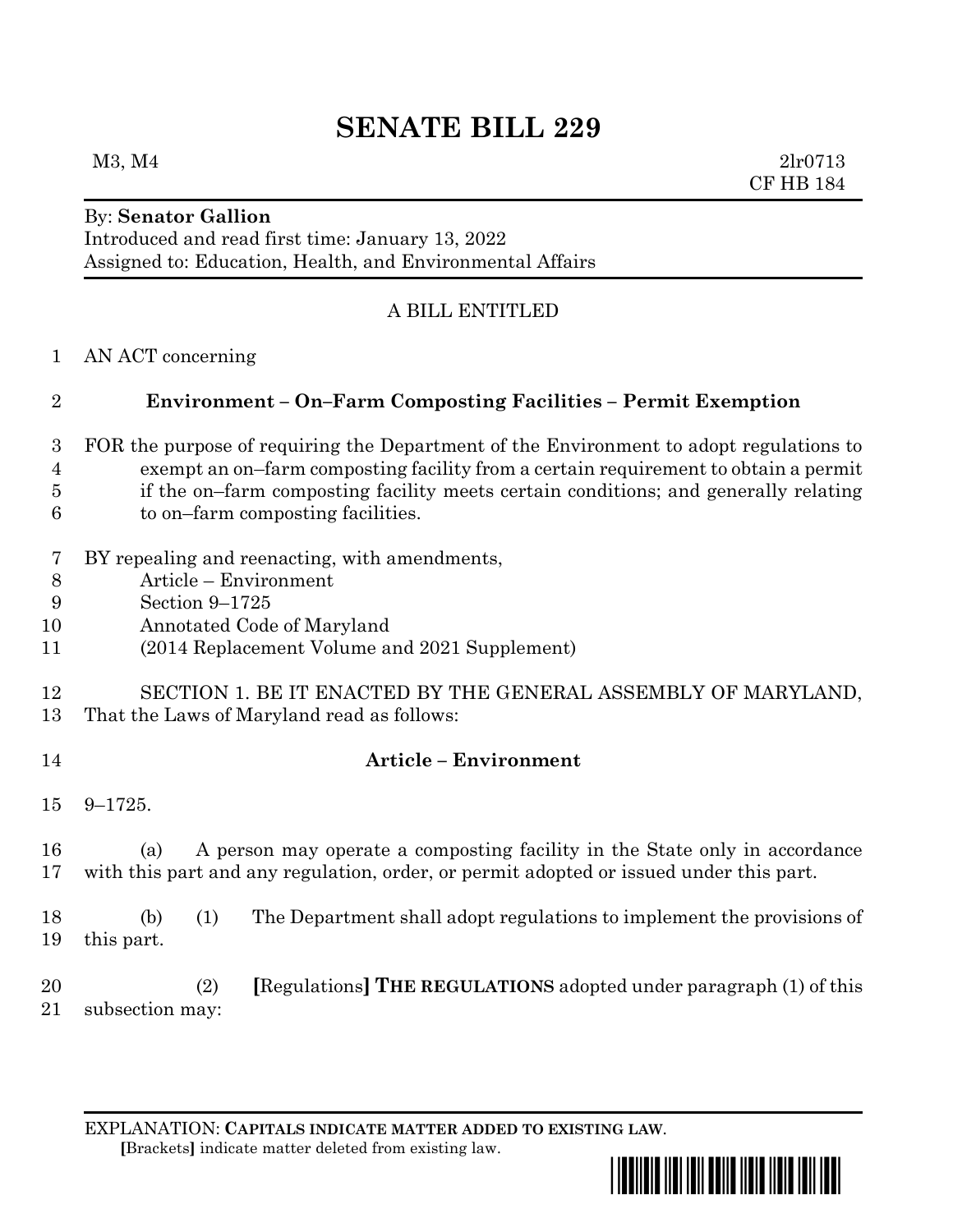# **SENATE BILL 229**

 $M3, M4$  2lr0713 CF HB 184

#### By: **Senator Gallion**

Introduced and read first time: January 13, 2022 Assigned to: Education, Health, and Environmental Affairs

## A BILL ENTITLED

AN ACT concerning

## **Environment – On–Farm Composting Facilities – Permit Exemption**

- FOR the purpose of requiring the Department of the Environment to adopt regulations to exempt an on–farm composting facility from a certain requirement to obtain a permit if the on–farm composting facility meets certain conditions; and generally relating to on–farm composting facilities.
- BY repealing and reenacting, with amendments,
- Article Environment
- Section 9–1725
- Annotated Code of Maryland
- (2014 Replacement Volume and 2021 Supplement)

#### SECTION 1. BE IT ENACTED BY THE GENERAL ASSEMBLY OF MARYLAND, That the Laws of Maryland read as follows:

#### **Article – Environment**

9–1725.

 (a) A person may operate a composting facility in the State only in accordance with this part and any regulation, order, or permit adopted or issued under this part.

 (b) (1) The Department shall adopt regulations to implement the provisions of this part.

 (2) **[**Regulations**] THE REGULATIONS** adopted under paragraph (1) of this subsection may:

EXPLANATION: **CAPITALS INDICATE MATTER ADDED TO EXISTING LAW**.  **[**Brackets**]** indicate matter deleted from existing law.